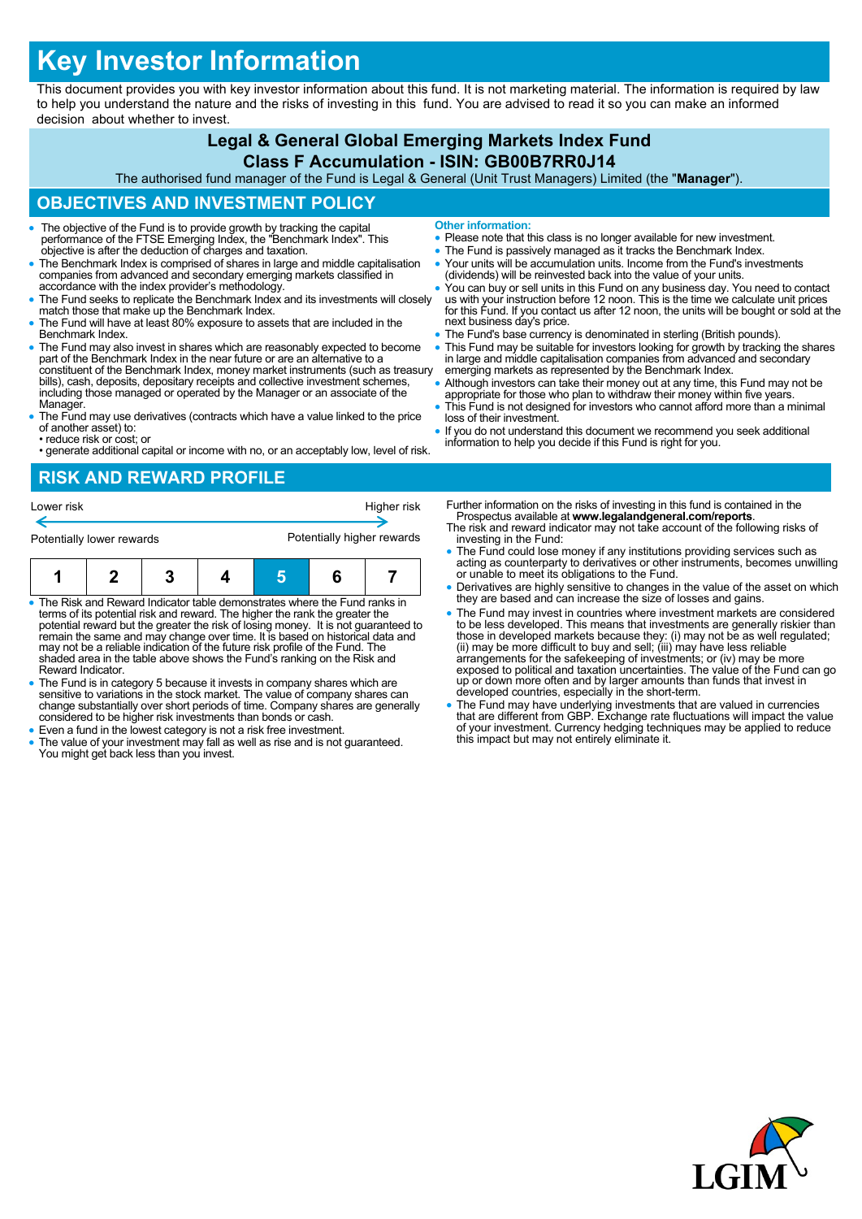# **Key Investor Information**

This document provides you with key investor information about this fund. It is not marketing material. The information is required by law to help you understand the nature and the risks of investing in this fund. You are advised to read it so you can make an informed decision about whether to invest.

# **Legal & General Global Emerging Markets Index Fund**

#### **Class F Accumulation - ISIN: GB00B7RR0J14**

The authorised fund manager of the Fund is Legal & General (Unit Trust Managers) Limited (the "**Manager**").

#### **OBJECTIVES AND INVESTMENT POLICY**

- The objective of the Fund is to provide growth by tracking the capital performance of the FTSE Emerging Index, the "Benchmark Index". This objective is after the deduction of charges and taxation.
- The Benchmark Index is comprised of shares in large and middle capitalisation companies from advanced and secondary emerging markets classified in accordance with the index provider's methodology.
- The Fund seeks to replicate the Benchmark Index and its investments will closely match those that make up the Benchmark Index.
- The Fund will have at least 80% exposure to assets that are included in the Benchmark Index.
- The Fund may also invest in shares which are reasonably expected to become part of the Benchmark Index in the near future or are an alternative to a constituent of the Benchmark Index, money market instruments (such as treasury bills), cash, deposits, depositary receipts and collective investment schemes, including those managed or operated by the Manager or an associate of the Manager.
- The Fund may use derivatives (contracts which have a value linked to the price of another asset) to:
- reduce risk or cost; or • generate additional capital or income with no, or an acceptably low, level of risk.
- **Other information:**
- Please note that this class is no longer available for new investment.
- The Fund is passively managed as it tracks the Benchmark Index.
- Your units will be accumulation units. Income from the Fund's investments (dividends) will be reinvested back into the value of your units.
- You can buy or sell units in this Fund on any business day. You need to contact us with your instruction before 12 noon. This is the time we calculate unit prices for this Fund. If you contact us after 12 noon, the units will be bought or sold at the next business day's price.
- **The Fund's base currency is denominated in sterling (British pounds)**
- This Fund may be suitable for investors looking for growth by tracking the shares in large and middle capitalisation companies from advanced and secondary emerging markets as represented by the Benchmark Index.
- Although investors can take their money out at any time, this Fund may not be appropriate for those who plan to withdraw their money within five years. This Fund is not designed for investors who cannot afford more than a minimal
- loss of their investment. • If you do not understand this document we recommend you seek additional
- information to help you decide if this Fund is right for you.

## **RISK AND REWARD PROFILE**



- The Risk and Reward Indicator table demonstrates where the Fund ranks in terms of its potential risk and reward. The higher the rank the greater the potential reward but the greater the risk of losing money. It is not guaranteed to remain the same and may change over time. It is based on historical data and may not be a reliable indication of the future risk profile of the Fund. The shaded area in the table above shows the Fund's ranking on the Risk and Reward Indicator.
- The Fund is in category 5 because it invests in company shares which are sensitive to variations in the stock market. The value of company shares can change substantially over short periods of time. Company shares are generally considered to be higher risk investments than bonds or cash.
- Even a fund in the lowest category is not a risk free investment.
- The value of your investment may fall as well as rise and is not guaranteed. You might get back less than you invest.
- Further information on the risks of investing in this fund is contained in the Prospectus available at **www.legalandgeneral.com/reports**.
- The risk and reward indicator may not take account of the following risks of investing in the Fund:
- The Fund could lose money if any institutions providing services such as acting as counterparty to derivatives or other instruments, becomes unwilling or unable to meet its obligations to the Fund.
- Derivatives are highly sensitive to changes in the value of the asset on which they are based and can increase the size of losses and gains.
- The Fund may invest in countries where investment markets are considered to be less developed. This means that investments are generally riskier than<br>those in developed markets because they: (i) may not be as well regulated;<br>(ii) may be more difficult to buy and sell; (iii) may have less reliab exposed to political and taxation uncertainties. The value of the Fund can go up or down more often and by larger amounts than funds that invest in developed countries, especially in the short-term.
- The Fund may have underlying investments that are valued in currencies that are different from GBP. Exchange rate fluctuations will impact the value of your investment. Currency hedging techniques may be applied to reduce this impact but may not entirely eliminate it.